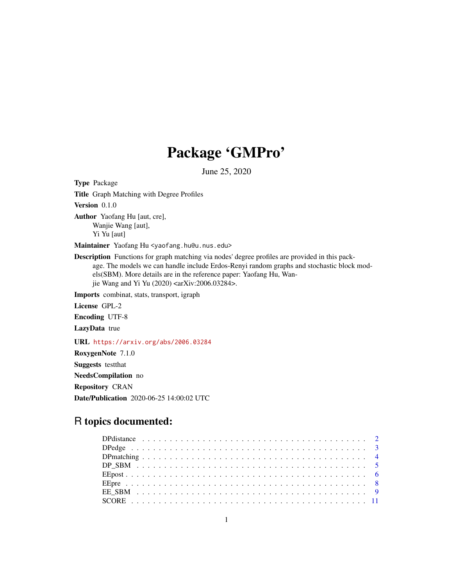# Package 'GMPro'

June 25, 2020

Type Package Title Graph Matching with Degree Profiles Version 0.1.0 Author Yaofang Hu [aut, cre], Wanjie Wang [aut], Yi Yu [aut] Maintainer Yaofang Hu <yaofang.hu@u.nus.edu> Description Functions for graph matching via nodes' degree profiles are provided in this package. The models we can handle include Erdos-Renyi random graphs and stochastic block models(SBM). More details are in the reference paper: Yaofang Hu, Wanjie Wang and Yi Yu (2020) <arXiv:2006.03284>. Imports combinat, stats, transport, igraph License GPL-2 Encoding UTF-8 LazyData true URL <https://arxiv.org/abs/2006.03284> RoxygenNote 7.1.0

Suggests testthat NeedsCompilation no Repository CRAN Date/Publication 2020-06-25 14:00:02 UTC

# R topics documented: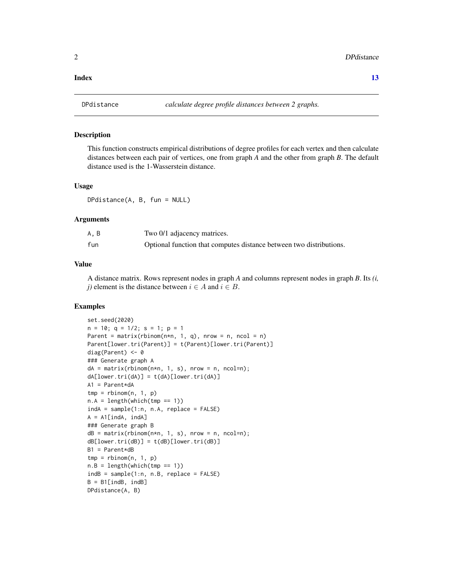#### <span id="page-1-0"></span>**Index** [13](#page-12-0)

# Description

This function constructs empirical distributions of degree profiles for each vertex and then calculate distances between each pair of vertices, one from graph *A* and the other from graph *B*. The default distance used is the 1-Wasserstein distance.

# Usage

DPdistance(A, B, fun = NULL)

#### Arguments

| A, B | Two 0/1 adjacency matrices.                                         |
|------|---------------------------------------------------------------------|
| fun  | Optional function that computes distance between two distributions. |

# Value

A distance matrix. Rows represent nodes in graph *A* and columns represent nodes in graph *B*. Its *(i, j*) element is the distance between  $i \in A$  and  $i \in B$ .

```
set.seed(2020)
n = 10; q = 1/2; s = 1; p = 1Parent = matrix(rbinom(n*n, 1, q), nrow = n, ncol = n)
Parent[lower.tri(Parent)] = t(Parent)[lower.tri(Parent)]
diag(Parent) <- 0
### Generate graph A
dA = matrix(rbinom{m+n}{1}, 1, s), nrow = n, ncol=n);
dA[lower.tri(dA)] = t(dA)[lower.tri(dA)]A1 = Parent*dAtmp = rhinom(n, 1, p)n.A = length(which(tmp == 1))indA = sample(1:n, n.A, replace = FALSE)A = A1[indA, indA]
### Generate graph B
dB = matrix(rbinom{n+n}{1}, s), nrow = n, ncol=n);
dB[lower.tri(dB)] = t(dB)[lower.tri(dB)]B1 = Parent*dBtmp = rhinom(n, 1, p)n.B = length(which(tmp == 1))indB = sample(1:n, n.B, replace = FALSE)B = B1[indB, indB]
DPdistance(A, B)
```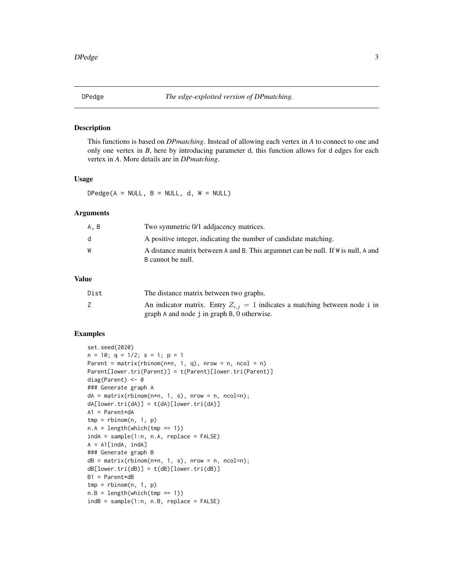<span id="page-2-0"></span>

# Description

This functions is based on *DPmatching*. Instead of allowing each vertex in *A* to connect to one and only one vertex in *B*, here by introducing parameter d, this function allows for d edges for each vertex in *A*. More details are in *DPmatching*.

# Usage

 $DPedge(A = NULL, B = NULL, d, W = NULL)$ 

#### Arguments

| A, B | Two symmetric 0/1 addiacency matrices.                                                                 |
|------|--------------------------------------------------------------------------------------------------------|
| d    | A positive integer, indicating the number of candidate matching.                                       |
| W    | A distance matrix between A and B. This argumnet can be null. If W is null, A and<br>B cannot be null. |

# Value

| Dist | The distance matrix between two graphs.                                         |
|------|---------------------------------------------------------------------------------|
|      | An indicator matrix. Entry $Z_{i,j} = 1$ indicates a matching between node i in |
|      | graph A and node j in graph B, 0 otherwise.                                     |

```
set.seed(2020)
n = 10; q = 1/2; s = 1; p = 1Parent = matrix(rbinom(n*n, 1, q), nrow = n, ncol = n)
Parent[lower.tri(Parent)] = t(Parent)[lower.tri(Parent)]
diag(Parent) <- 0
### Generate graph A
dA = matrix(rbinom{n*n}, 1, s), nrow = n, ncol=n);
dA[lower.tri(dA)] = t(dA)[lower.tri(dA)]A1 = Parent*dA
tmp = rhinom(n, 1, p)n.A = length(which(tmp == 1))indA = sample(1:n, n.A, replace = FALSE)A = A1[indA, indA]
### Generate graph B
dB = matrix(rbinom{n+n}{1}, s), nrow = n, ncol=n);
dB[lower.tri(dB)] = t(dB)[lower.tri(dB)]B1 = Parent*dB
tmp = rhinom(n, 1, p)n.B = length(which(tmp == 1))indB = sample(1:n, n.B, replace = FALSE)
```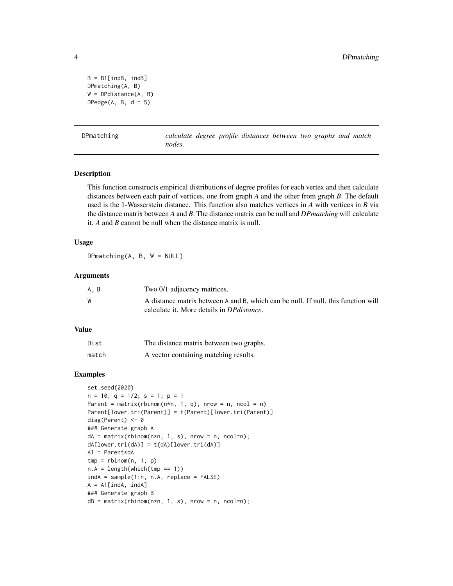```
B = B1[indB, indB]
DPmatching(A, B)
W = DPdistance(A, B)
DPedge(A, B, d = 5)
```

| DPmatching |  |
|------------|--|
|            |  |
|            |  |
|            |  |

calculate degree profile distances between two graphs and match *nodes.*

#### Description

This function constructs empirical distributions of degree profiles for each vertex and then calculate distances between each pair of vertices, one from graph *A* and the other from graph *B*. The default used is the 1-Wasserstein distance. This function also matches vertices in *A* with vertices in *B* via the distance matrix between *A* and *B*. The distance matrix can be null and *DPmatching* will calculate it. *A* and *B* cannot be null when the distance matrix is null.

# Usage

DPmatching(A, B, W = NULL)

# Arguments

| A, B | Two 0/1 adjacency matrices.                                                       |
|------|-----------------------------------------------------------------------------------|
| W    | A distance matrix between A and B, which can be null. If null, this function will |
|      | calculate it. More details in <i>DP distance</i> .                                |

# Value

| Dist  | The distance matrix between two graphs. |
|-------|-----------------------------------------|
| match | A vector containing matching results.   |

```
set.seed(2020)
n = 10; q = 1/2; s = 1; p = 1Parent = matrix(rbinom(n*n, 1, q), nrow = n, ncol = n)
Parent[lower.tri(Parent)] = t(Parent)[lower.tri(Parent)]
diag(Parent) <- 0
### Generate graph A
dA = matrix(rbinom{n*n}, 1, s), nrow = n, ncol=n);
dA[lower.tri(dA)] = t(dA)[lower.tri(dA)]
A1 = Parent*dA
tmp = rhinom(n, 1, p)n.A = length(which(tmp == 1))indA = sample(1:n, n.A, replace = FALSE)A = A1[indA, indA]
### Generate graph B
dB = matrix(rbinom{n*n}, 1, s), nrow = n, ncol=n);
```
<span id="page-3-0"></span>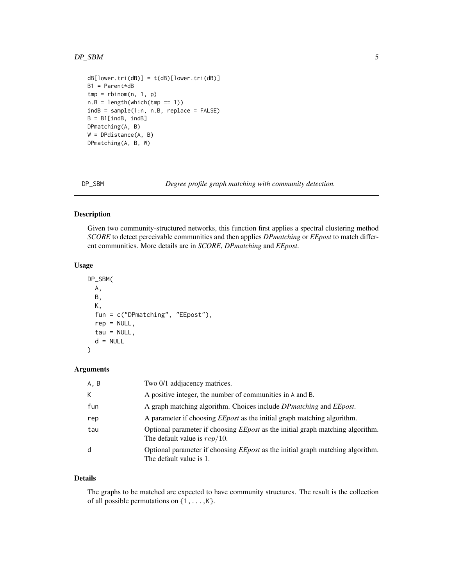#### <span id="page-4-0"></span> $DP\_SBM$  5

```
dB[lower.tri(dB)] = t(dB)[lower.tri(dB)]B1 = Parent*dB
tmp = rhinom(n, 1, p)n.B = length(which(tmp == 1))indB = sample(1:n, n.B, replace = FALSE)B = B1[indB, indB]
DPmatching(A, B)
W = DPdistance(A, B)
DPmatching(A, B, W)
```
DP\_SBM *Degree profile graph matching with community detection.*

# Description

Given two community-structured networks, this function first applies a spectral clustering method *SCORE* to detect perceivable communities and then applies *DPmatching* or *EEpost* to match different communities. More details are in *SCORE*, *DPmatching* and *EEpost*.

# Usage

```
DP_SBM(
  A,
 B,
 K,
  fun = c("DPmatching", "EEpost"),
  rep = NULL,tau = NULL,d = NULL\mathcal{L}
```
#### Arguments

| A, B | Two 0/1 addjacency matrices.                                                                                             |
|------|--------------------------------------------------------------------------------------------------------------------------|
| K    | A positive integer, the number of communities in A and B.                                                                |
| fun  | A graph matching algorithm. Choices include <i>DP matching</i> and <i>EE post</i> .                                      |
| rep  | A parameter if choosing <i>EEpost</i> as the initial graph matching algorithm.                                           |
| tau  | Optional parameter if choosing <i>EEpost</i> as the initial graph matching algorithm.<br>The default value is $rep/10$ . |
| d    | Optional parameter if choosing <i>EEpost</i> as the initial graph matching algorithm.<br>The default value is 1.         |

# Details

The graphs to be matched are expected to have community structures. The result is the collection of all possible permutations on  $\{1,\ldots,K\}$ .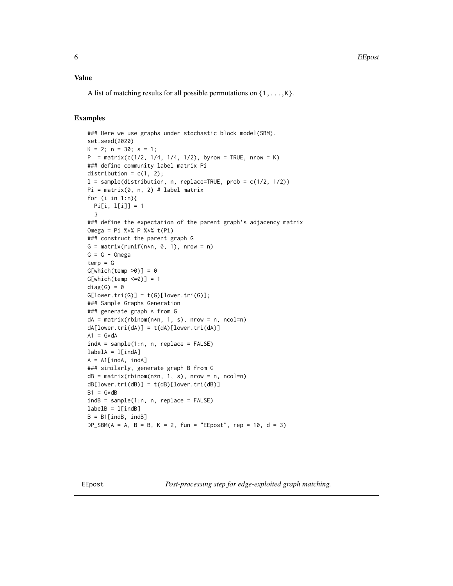# <span id="page-5-0"></span>Value

A list of matching results for all possible permutations on  $\{1,\ldots,K\}$ .

# Examples

```
### Here we use graphs under stochastic block model(SBM).
set.seed(2020)
K = 2; n = 30; s = 1;P = matrix(c(1/2, 1/4, 1/4, 1/2), byrow = TRUE, nrow = K)### define community label matrix Pi
distribution = c(1, 2);
l = sample(distribution, n, replace=TRUE, prob = c(1/2, 1/2))Pi = matrix(0, n, 2) # label matrix
for (i in 1:n){
  Pi[i, l[i]] = 1
  }
### define the expectation of the parent graph's adjacency matrix
Omega = Pi %*% P %*% t(Pi)
### construct the parent graph G
G = matrix(runit(n*n, 0, 1), nrow = n)G = G - Omegatemp = GG[which(temp >0)] = 0G[which(temp <=0)] = 1diag(G) = 0G[lower.tri(G)] = t(G)[lower.tri(G)];### Sample Graphs Generation
### generate graph A from G
dA = matrix(rbinom{n*n}, 1, s), nrow = n, ncol=n)
dA[lower.tri(dA)] = t(dA)[lower.tri(dA)]A1 = G*dAindA = sample(1:n, n, replace = FALSE)labelA = 1[indA]
A = A1[indA, indA]
### similarly, generate graph B from G
dB = matrix(rbinom{m+n}{1}, s), nrow = n, ncol=n)
dB[lower.tri(dB)] = t(dB)[lower.tri(dB)]B1 = G \star dBindB = sample(1:n, n, replace = FALSE)labelB = 1[indB]
B = B1[indB, indB]
DP\_SBM(A = A, B = B, K = 2, fun = "EEpost", rep = 10, d = 3)
```
EEpost *Post-processing step for edge-exploited graph matching.*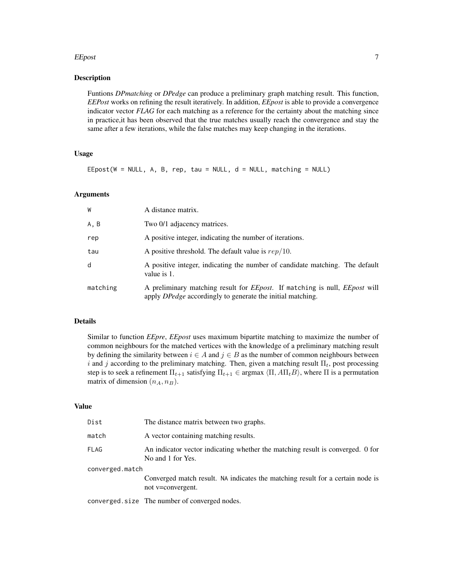#### EEpost 7 and 2012 12:00 the contract of the contract of the contract of the contract of the contract of the contract of the contract of the contract of the contract of the contract of the contract of the contract of the co

# Description

Funtions *DPmatching* or *DPedge* can produce a preliminary graph matching result. This function, *EEPost* works on refining the result iteratively. In addition, *EEpost* is able to provide a convergence indicator vector *FLAG* for each matching as a reference for the certainty about the matching since in practice,it has been observed that the true matches usually reach the convergence and stay the same after a few iterations, while the false matches may keep changing in the iterations.

# Usage

EEpost(W = NULL, A, B, rep, tau = NULL,  $d = NULL$ , matching = NULL)

# Arguments

| W        | A distance matrix.                                                                                                                                             |
|----------|----------------------------------------------------------------------------------------------------------------------------------------------------------------|
| A, B     | Two 0/1 adjacency matrices.                                                                                                                                    |
| rep      | A positive integer, indicating the number of iterations.                                                                                                       |
| tau      | A positive threshold. The default value is $rep/10$ .                                                                                                          |
| d        | A positive integer, indicating the number of candidate matching. The default<br>value is 1.                                                                    |
| matching | A preliminary matching result for <i>EEpost</i> . If matching is null, <i>EEpost</i> will<br>apply <i>DPedge</i> accordingly to generate the initial matching. |

# Details

Similar to function *EEpre*, *EEpost* uses maximum bipartite matching to maximize the number of common neighbours for the matched vertices with the knowledge of a preliminary matching result by defining the similarity between  $i \in A$  and  $j \in B$  as the number of common neighbours between i and j according to the preliminary matching. Then, given a matching result  $\Pi_t$ , post processing step is to seek a refinement  $\Pi_{t+1}$  satisfying  $\Pi_{t+1} \in \text{argmax} \langle \Pi, A \Pi_t B \rangle$ , where  $\Pi$  is a permutation matrix of dimension  $(n_A, n_B)$ .

# Value

| Dist            | The distance matrix between two graphs.                                                             |
|-----------------|-----------------------------------------------------------------------------------------------------|
| match           | A vector containing matching results.                                                               |
| <b>FLAG</b>     | An indicator vector indicating whether the matching result is converged. 0 for<br>No and 1 for Yes. |
| converged.match |                                                                                                     |
|                 | Converged match result. NA indicates the matching result for a certain node is<br>not v=convergent. |
|                 | converged.size The number of converged nodes.                                                       |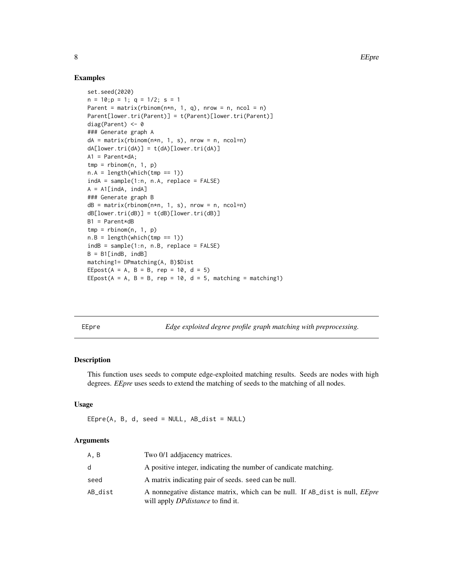# Examples

```
set.seed(2020)
n = 10; p = 1; q = 1/2; s = 1Parent = matrix(rbinom(n*n, 1, q), nrow = n, ncol = n)
Parent[lower.tri(Parent)] = t(Parent)[lower.tri(Parent)]
diag(Parent) <- 0
### Generate graph A
dA = matrix(rbinom{n*n}, 1, s), nrow = n, ncol=n)
dA[lower.tri(dA)] = t(dA)[lower.tri(dA)]A1 = Parent*dA;tmp = rhinom(n, 1, p)n.A = length(which(tmp == 1))indA = sample(1:n, n.A, replace = FALSE)A = A1[indA, indA]
### Generate graph B
dB = matrix(rbinom{n*n}, 1, s), nrow = n, ncol=n)
dB[lower.tri(dB)] = t(dB)[lower.tri(dB)]B1 = Parent*dB
tmp = rhinom(n, 1, p)n.B = length(which(tmp == 1))indB = sample(1:n, n.B, replace = FALSE)B = B1[indB, indB]
matching1= DPmatching(A, B)$Dist
EEpost(A = A, B = B, rep = 10, d = 5)
EEpost(A = A, B = B, rep = 10, d = 5, matching = matching1)
```
EEpre *Edge exploited degree profile graph matching with preprocessing.*

# Description

This function uses seeds to compute edge-exploited matching results. Seeds are nodes with high degrees. *EEpre* uses seeds to extend the matching of seeds to the matching of all nodes.

# Usage

 $EEpre(A, B, d, seed = NULL, AB\_dist = NULL)$ 

#### Arguments

| A.B     | Two 0/1 addiacency matrices.                                                                                                    |
|---------|---------------------------------------------------------------------------------------------------------------------------------|
| d       | A positive integer, indicating the number of candicate matching.                                                                |
| seed    | A matrix indicating pair of seeds, seed can be null.                                                                            |
| AB dist | A nonnegative distance matrix, which can be null. If AB dist is null, <i>EEpre</i><br>will apply <i>DP distance</i> to find it. |

<span id="page-7-0"></span>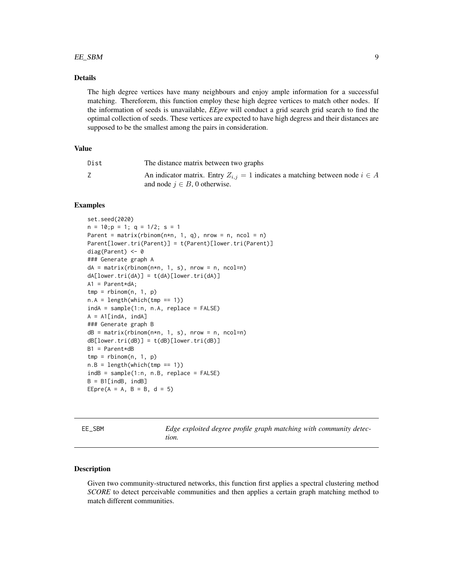#### <span id="page-8-0"></span> $EE\_SBM$  9

# Details

The high degree vertices have many neighbours and enjoy ample information for a successful matching. Thereforem, this function employ these high degree vertices to match other nodes. If the information of seeds is unavailable, *EEpre* will conduct a grid search grid search to find the optimal collection of seeds. These vertices are expected to have high degress and their distances are supposed to be the smallest among the pairs in consideration.

# Value

| Dist | The distance matrix between two graphs                                                                                    |
|------|---------------------------------------------------------------------------------------------------------------------------|
|      | An indicator matrix. Entry $Z_{i,j} = 1$ indicates a matching between node $i \in A$<br>and node $i \in B$ , 0 otherwise. |

#### Examples

```
set.seed(2020)
n = 10; p = 1; q = 1/2; s = 1Parent = matrix(rbinom(n*n, 1, q), nrow = n, ncol = n)
Parent[lower.tri(Parent)] = t(Parent)[lower.tri(Parent)]
diag(Parent) <- 0
### Generate graph A
dA = matrix(rbinom{n*n}, 1, s), nrow = n, ncol=n)
dA[lower.tri(dA)] = t(dA)[lower.tri(dA)]A1 = Parent*dA;
tmp = rhinom(n, 1, p)n.A = length(which(tmp == 1))indA = sample(1:n, n.A, replace = FALSE)A = A1[indA, indA]
### Generate graph B
dB = matrix(rbinom(n*n, 1, s), nrow = n, ncol=n)dB[lower.tri(dB)] = t(dB)[lower.tri(dB)]
B1 = Parent*dBtmp = rhinom(n, 1, p)n.B = length(which(tmp == 1))indB = sample(1:n, n.B, replace = FALSE)B = B1[indB, indB]
EEpre(A = A, B = B, d = 5)
```

| - - -<br>$-$ |  | ۰<br>$\sim$ |
|--------------|--|-------------|
|              |  |             |
|              |  |             |
|              |  |             |
|              |  |             |
|              |  |             |
|              |  |             |

EE\_SBM *Edge exploited degree profile graph matching with community detection.*

#### **Description**

Given two community-structured networks, this function first applies a spectral clustering method *SCORE* to detect perceivable communities and then applies a certain graph matching method to match different communities.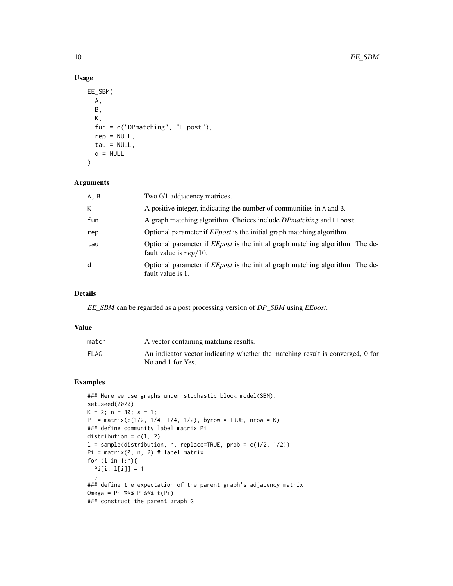# Usage

```
EE_SBM(
  A,
 B,
 K,
  fun = c("DPmatching", "EEpost"),
  rep = NULL,
 tau = NULL,d = NULL)
```
# Arguments

| A, B | Two 0/1 addjacency matrices.                                                                                      |
|------|-------------------------------------------------------------------------------------------------------------------|
| К    | A positive integer, indicating the number of communities in A and B.                                              |
| fun  | A graph matching algorithm. Choices include <i>DP matching</i> and EE post.                                       |
| rep  | Optional parameter if <i>EEpost</i> is the initial graph matching algorithm.                                      |
| tau  | Optional parameter if <i>EEpost</i> is the initial graph matching algorithm. The de-<br>fault value is $rep/10$ . |
| d    | Optional parameter if <i>EEpost</i> is the initial graph matching algorithm. The de-<br>fault value is 1.         |

# Details

*EE\_SBM* can be regarded as a post processing version of *DP\_SBM* using *EEpost*.

#### Value

| match | A vector containing matching results.                                                               |
|-------|-----------------------------------------------------------------------------------------------------|
| FLAG  | An indicator vector indicating whether the matching result is converged, 0 for<br>No and 1 for Yes. |

```
### Here we use graphs under stochastic block model(SBM).
set.seed(2020)
K = 2; n = 30; s = 1;
P = matrix(c(1/2, 1/4, 1/4, 1/2), byrow = TRUE, nrow = K)### define community label matrix Pi
distribution = c(1, 2);
l = sample(distribution, n, replace=TRUE, prob = c(1/2, 1/2))Pi = matrix(0, n, 2) # label matrix
for (i in 1:n){
 Pi[i, l[i]] = 1
  }
### define the expectation of the parent graph's adjacency matrix
Omega = Pi %*% P %*% t(Pi)
### construct the parent graph G
```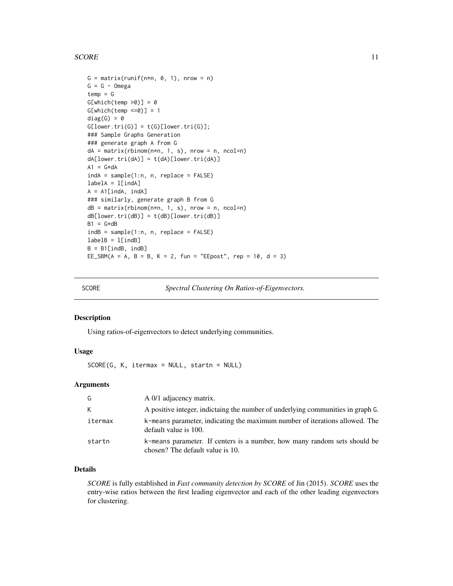#### <span id="page-10-0"></span> $SCORE$  11

```
G = matrix(runif(n*n, 0, 1), nrow = n)G = G - Omegatemp = GG[which(temp >0)] = 0G[which(temp < = 0)] = 1diag(G) = 0G[lower.tri(G)] = t(G)[lower.tri(G)];### Sample Graphs Generation
### generate graph A from G
dA = matrix(rbinom{n*n}, 1, s), nrow = n, ncol=n)
dA[lower.tri(dA)] = t(dA)[lower.tri(dA)]A1 = G * dAindA = sample(1:n, n, replace = FALSE)labelA = 1[indA]
A = A1[indA, indA]
### similarly, generate graph B from G
dB = matrix(rbinom(n*n, 1, s), nrow = n, ncol=n)dB[lower.tri(dB)] = t(dB)[lower.tri(dB)]
B1 = G \star dBindB = sample(1:n, n, replace = FALSE)labelB = l[indB]B = B1[indB, indB]
EE_SBM(A = A, B = B, K = 2, fun = "EEpost", rep = 10, d = 3)
```
SCORE *Spectral Clustering On Ratios-of-Eigenvectors.*

# Description

Using ratios-of-eigenvectors to detect underlying communities.

# Usage

SCORE(G, K, itermax = NULL, startn = NULL)

# Arguments

| G       | A 0/1 adjacency matrix.                                                                                       |
|---------|---------------------------------------------------------------------------------------------------------------|
| K       | A positive integer, indictaing the number of underlying communities in graph G.                               |
| itermax | k-means parameter, indicating the maximum number of iterations allowed. The<br>default value is 100.          |
| startn  | k-means parameter. If centers is a number, how many random sets should be<br>chosen? The default value is 10. |

# Details

*SCORE* is fully established in *Fast community detection by SCORE* of Jin (2015). *SCORE* uses the entry-wise ratios between the first leading eigenvector and each of the other leading eigenvectors for clustering.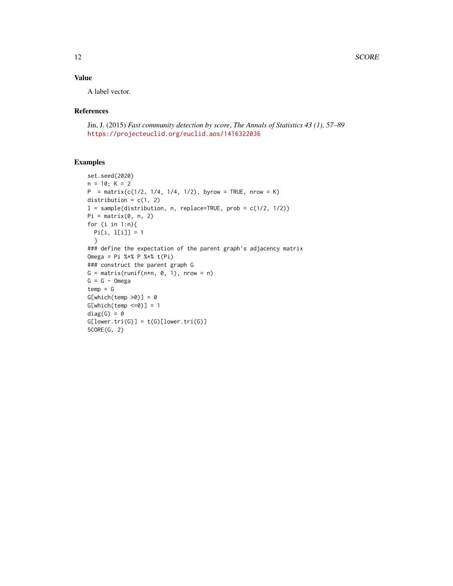# Value

A label vector.

#### References

Jin, J. (2015) *Fast community detection by score*, *The Annals of Statistics 43 (1), 57–89* <https://projecteuclid.org/euclid.aos/1416322036>

```
set.seed(2020)
n = 10; K = 2P = matrix(c(1/2, 1/4, 1/4, 1/2), byrow = TRUE, nrow = K)distribution = c(1, 2)
l = sample(distribution, n, replace=TRUE, prob = c(1/2, 1/2))Pi = matrix(0, n, 2)for (i in 1:n){
 Pi[i, l[i]] = 1
  }
### define the expectation of the parent graph's adjacency matrix
Omega = Pi %*% P %*% t(Pi)
### construct the parent graph G
G = matrix(runit(n*n, 0, 1), nrow = n)G = G - Omegatemp = GG[which(temp >0)] = 0G[which(temp < = 0)] = 1diag(G) = 0G[lower.tri(G)] = t(G)[lower.tri(G)]SCORE(G, 2)
```